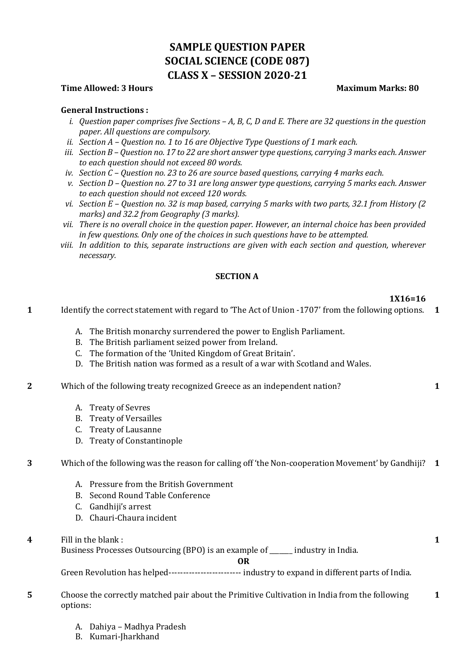# **SAMPLE QUESTION PAPER SOCIAL SCIENCE (CODE 087) CLASS X – SESSION 2020-21**

#### **Time Allowed: 3 Hours Maximum Marks: 80**

#### **General Instructions :**

- *i. Question paper comprises five Sections – A, B, C, D and E. There are 32 questions in the question paper. All questions are compulsory.*
- *ii. Section A – Question no. 1 to 16 are Objective Type Questions of 1 mark each.*
- *iii. Section B – Question no. 17 to 22 are short answer type questions, carrying 3 marks each. Answer to each question should not exceed 80 words.*
- *iv. Section C – Question no. 23 to 26 are source based questions, carrying 4 marks each.*
- *v. Section D – Question no. 27 to 31 are long answer type questions, carrying 5 marks each. Answer to each question should not exceed 120 words.*
- *vi. Section E – Question no. 32 is map based, carrying 5 marks with two parts, 32.1 from History (2 marks) and 32.2 from Geography (3 marks).*
- *vii. There is no overall choice in the question paper. However, an internal choice has been provided in few questions. Only one of the choices in such questions have to be attempted.*
- *viii. In addition to this, separate instructions are given with each section and question, wherever necessary.*

#### **SECTION A**

**1X16=16**

**1**

**1**

- **1** Identify the correct statement with regard to 'The Act of Union -1707' from the following options. **1**
	- A. The British monarchy surrendered the power to English Parliament.
	- B. The British parliament seized power from Ireland.
	- C. The formation of the 'United Kingdom of Great Britain'.
	- D. The British nation was formed as a result of a war with Scotland and Wales.
- **2** Which of the following treaty recognized Greece as an independent nation?
	- A. Treaty of Sevres
	- B. Treaty of Versailles
	- C. Treaty of Lausanne
	- D. Treaty of Constantinople
- **3** Which of the following was the reason for calling off 'the Non-cooperation Movement' by Gandhiji? **1**
	- A. Pressure from the British Government
	- B. Second Round Table Conference
	- C. Gandhiji's arrest
	- D. Chauri-Chaura incident
- **4** Fill in the blank :

Business Processes Outsourcing (BPO) is an example of \_\_\_\_\_\_\_ industry in India.

**OR**

Green Revolution has helped------------------------- industry to expand in different parts of India.

- **5** Choose the correctly matched pair about the Primitive Cultivation in India from the following options: **1**
	- A. Dahiya Madhya Pradesh
	- B. Kumari-Jharkhand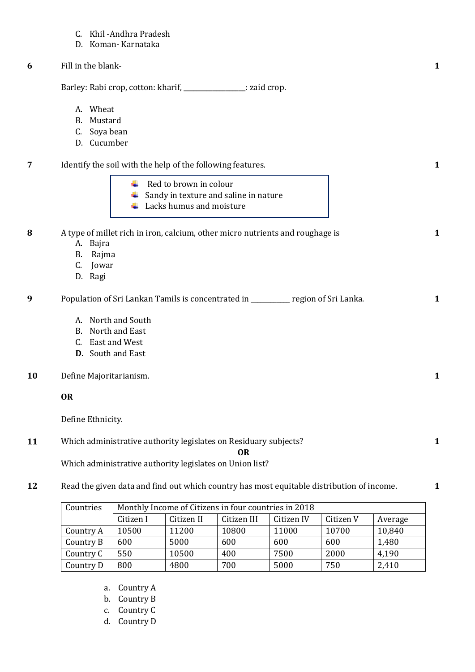- C. Khil -Andhra Pradesh
- D. Koman- Karnataka
- **6** Fill in the blank-

Barley: Rabi crop, cotton: kharif, \_\_\_\_\_\_\_\_\_\_\_\_\_\_\_\_\_: zaid crop.

- A. Wheat
- B. Mustard
- C. Soya bean
- D. Cucumber
- **7** Identify the soil with the help of the following features. **1** ÷ Red to brown in colour  $\frac{1}{2}$  Sandy in texture and saline in nature  $\leftarrow$  Lacks humus and moisture **8** A type of millet rich in iron, calcium, other micro nutrients and roughage is **1** A. Bajra B. Rajma C. Jowar D. Ragi **9** Population of Sri Lankan Tamils is concentrated in \_\_\_\_\_\_\_\_\_\_\_\_ region of Sri Lanka. **1** A. North and South B. North and East C. East and West **D.** South and East **10** Define Majoritarianism. **1 OR** Define Ethnicity.

**1**

**1**

**1**

**11** Which administrative authority legislates on Residuary subjects?

**OR**

Which administrative authority legislates on Union list?

**12** Read the given data and find out which country has most equitable distribution of income.

| Countries | Monthly Income of Citizens in four countries in 2018 |            |             |            |           |         |  |
|-----------|------------------------------------------------------|------------|-------------|------------|-----------|---------|--|
|           | Citizen I                                            | Citizen II | Citizen III | Citizen IV | Citizen V | Average |  |
| Country A | 10500                                                | 11200      | 10800       | 11000      | 10700     | 10,840  |  |
| Country B | 600                                                  | 5000       | 600         | 600        | 600       | 1,480   |  |
| Country C | 550                                                  | 10500      | 400         | 7500       | 2000      | 4,190   |  |
| Country D | 800                                                  | 4800       | 700         | 5000       | 750       | 2,410   |  |

- a. Country A
- b. Country B
- c. Country C
- d. Country D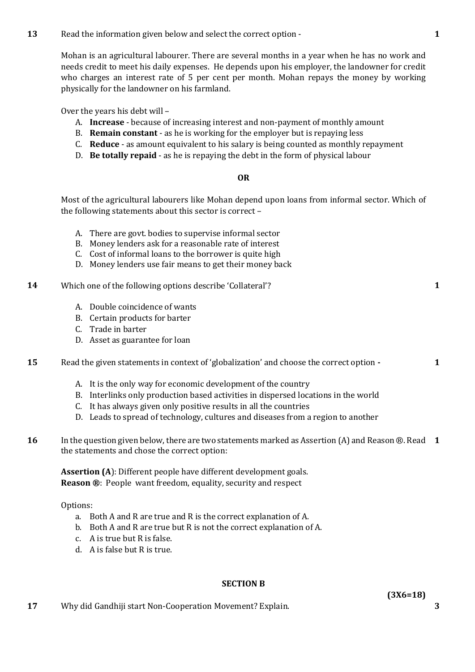**13** Read the information given below and select the correct option -

Mohan is an agricultural labourer. There are several months in a year when he has no work and needs credit to meet his daily expenses. He depends upon his employer, the landowner for credit who charges an interest rate of 5 per cent per month. Mohan repays the money by working physically for the landowner on his farmland.

Over the years his debt will –

- A. **Increase** because of increasing interest and non-payment of monthly amount
- B. **Remain constant** as he is working for the employer but is repaying less
- C. **Reduce** as amount equivalent to his salary is being counted as monthly repayment
- D. **Be totally repaid** as he is repaying the debt in the form of physical labour

#### **OR**

Most of the agricultural labourers like Mohan depend upon loans from informal sector. Which of the following statements about this sector is correct –

- A. There are govt. bodies to supervise informal sector
- B. Money lenders ask for a reasonable rate of interest
- C. Cost of informal loans to the borrower is quite high
- D. Money lenders use fair means to get their money back
- **14** Which one of the following options describe 'Collateral'?
	- A. Double coincidence of wants
	- B. Certain products for barter
	- C. Trade in barter
	- D. Asset as guarantee for loan

**15** Read the given statements in context of 'globalization' and choose the correct option **-**

- A. It is the only way for economic development of the country
- B. Interlinks only production based activities in dispersed locations in the world
- C. It has always given only positive results in all the countries
- D. Leads to spread of technology, cultures and diseases from a region to another
- **16** In the question given below, there are two statements marked as Assertion (A) and Reason ®. Read **1** the statements and chose the correct option:

**Assertion (A**): Different people have different development goals. **Reason ®**: People want freedom, equality, security and respect

Options:

- a. Both A and R are true and R is the correct explanation of A.
- b. Both A and R are true but R is not the correct explanation of A.
- c. A is true but R is false.
- d. A is false but R is true.

#### **SECTION B**

**17** Why did Gandhiji start Non-Cooperation Movement? Explain. **3**

**1**

**1**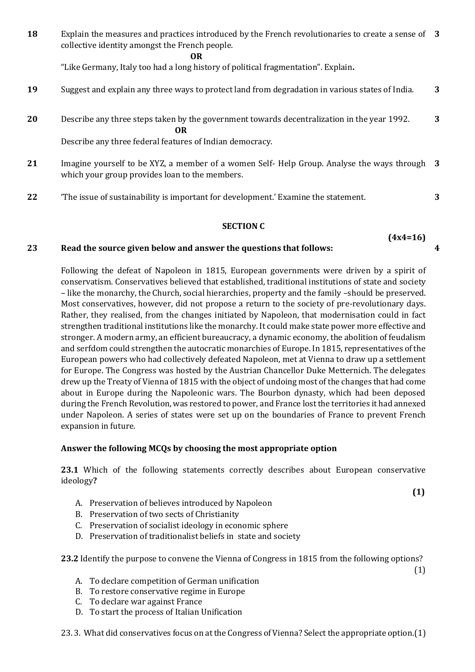**18** Explain the measures and practices introduced by the French revolutionaries to create a sense of **3** collective identity amongst the French people.

*OR* 

"Like Germany, Italy too had a long history of political fragmentation". Explain**.**

- **19** Suggest and explain any three ways to protect land from degradation in various states of India. **3**
- **20** Describe any three steps taken by the government towards decentralization in the year 1992. *OR* **3**

Describe any three federal features of Indian democracy.

- **21** Imagine yourself to be XYZ, a member of a women Self- Help Group. Analyse the ways through **3** which your group provides loan to the members.
- **22** 'The issue of sustainability is important for development.' Examine the statement. **3**

#### **SECTION C**

#### **(4x4=16) 4**

# **23 Read the source given below and answer the questions that follows:**

Following the defeat of Napoleon in 1815, European governments were driven by a spirit of conservatism. Conservatives believed that established, traditional institutions of state and society – like the monarchy, the Church, social hierarchies, property and the family –should be preserved. Most conservatives, however, did not propose a return to the society of pre-revolutionary days. Rather, they realised, from the changes initiated by Napoleon, that modernisation could in fact strengthen traditional institutions like the monarchy. It could make state power more effective and stronger. A modern army, an efficient bureaucracy, a dynamic economy, the abolition of feudalism and serfdom could strengthen the autocratic monarchies of Europe. In 1815, representatives of the European powers who had collectively defeated Napoleon, met at Vienna to draw up a settlement for Europe. The Congress was hosted by the Austrian Chancellor Duke Metternich. The delegates drew up the Treaty of Vienna of 1815 with the object of undoing most of the changes that had come about in Europe during the Napoleonic wars. The Bourbon dynasty, which had been deposed during the French Revolution, was restored to power, and France lost the territories it had annexed under Napoleon. A series of states were set up on the boundaries of France to prevent French expansion in future.

# **Answer the following MCQs by choosing the most appropriate option**

**23.1** Which of the following statements correctly describes about European conservative ideology**?** 

- **(1)**
	- A. Preservation of believes introduced by Napoleon
	- B. Preservation of two sects of Christianity
	- C. Preservation of socialist ideology in economic sphere
	- D. Preservation of traditionalist beliefs in state and society

**23.2** Identify the purpose to convene the Vienna of Congress in 1815 from the following options?

(1)

- A. To declare competition of German unification
- B. To restore conservative regime in Europe
- C. To declare war against France
- D. To start the process of Italian Unification
- 23. 3. What did conservatives focus on at the Congress of Vienna? Select the appropriate option.(1)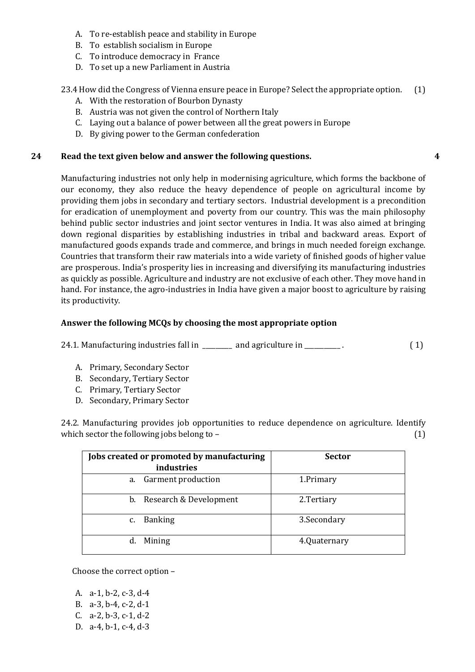- A. To re-establish peace and stability in Europe
- B. To establish socialism in Europe
- C. To introduce democracy in France
- D. To set up a new Parliament in Austria

# 23.4 How did the Congress of Vienna ensure peace in Europe? Select the appropriate option. (1)

**4**

- A. With the restoration of Bourbon Dynasty
- B. Austria was not given the control of Northern Italy
- C. Laying out a balance of power between all the great powers in Europe
- D. By giving power to the German confederation

# **24 Read the text given below and answer the following questions.**

Manufacturing industries not only help in modernising agriculture, which forms the backbone of our economy, they also reduce the heavy dependence of people on agricultural income by providing them jobs in secondary and tertiary sectors. Industrial development is a precondition for eradication of unemployment and poverty from our country. This was the main philosophy behind public sector industries and joint sector ventures in India. It was also aimed at bringing down regional disparities by establishing industries in tribal and backward areas. Export of manufactured goods expands trade and commerce, and brings in much needed foreign exchange. Countries that transform their raw materials into a wide variety of finished goods of higher value are prosperous. India's prosperity lies in increasing and diversifying its manufacturing industries as quickly as possible. Agriculture and industry are not exclusive of each other. They move hand in hand. For instance, the agro-industries in India have given a major boost to agriculture by raising its productivity.

# **Answer the following MCQs by choosing the most appropriate option**

24.1. Manufacturing industries fall in \_\_\_\_\_\_\_ and agriculture in \_\_\_\_\_\_\_\_\_. (1)

- A. Primary, Secondary Sector
- B. Secondary, Tertiary Sector
- C. Primary, Tertiary Sector
- D. Secondary, Primary Sector

24.2. Manufacturing provides job opportunities to reduce dependence on agriculture. Identify which sector the following jobs belong to  $-$  (1)

| Jobs created or promoted by manufacturing<br><i>industries</i> | <b>Sector</b> |
|----------------------------------------------------------------|---------------|
| <b>Garment production</b><br>a.                                | 1.Primary     |
| b. Research & Development                                      | 2.Tertiary    |
| <b>Banking</b><br>$C_{1}$                                      | 3. Secondary  |
| Mining<br>d.                                                   | 4.Quaternary  |

Choose the correct option –

A. a-1, b-2, c-3, d-4 B. a-3, b-4, c-2, d-1 C. a-2, b-3, c-1, d-2 D. a-4, b-1, c-4, d-3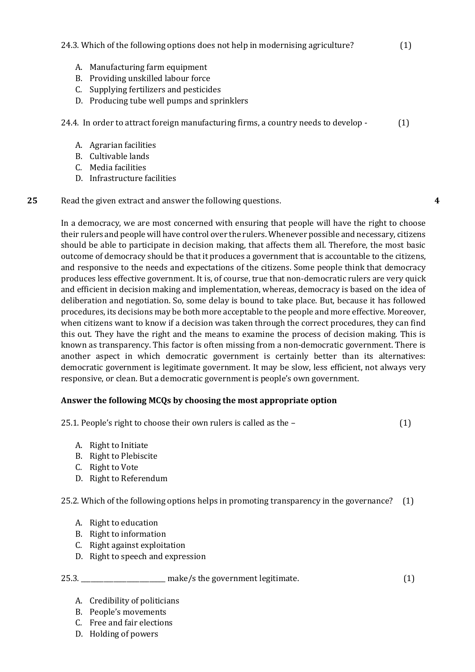# 24.3. Which of the following options does not help in modernising agriculture? (1)

- A. Manufacturing farm equipment
- B. Providing unskilled labour force
- C. Supplying fertilizers and pesticides
- D. Producing tube well pumps and sprinklers

24.4. In order to attract foreign manufacturing firms, a country needs to develop - (1)

- A. Agrarian facilities
- B. Cultivable lands
- C. Media facilities
- D. Infrastructure facilities

# **25** Read the given extract and answer the following questions.

In a democracy, we are most concerned with ensuring that people will have the right to choose their rulers and people will have control over the rulers. Whenever possible and necessary, citizens should be able to participate in decision making, that affects them all. Therefore, the most basic outcome of democracy should be that it produces a government that is accountable to the citizens, and responsive to the needs and expectations of the citizens. Some people think that democracy produces less effective government. It is, of course, true that non-democratic rulers are very quick and efficient in decision making and implementation, whereas, democracy is based on the idea of deliberation and negotiation. So, some delay is bound to take place. But, because it has followed procedures, its decisions may be both more acceptable to the people and more effective. Moreover, when citizens want to know if a decision was taken through the correct procedures, they can find this out. They have the right and the means to examine the process of decision making. This is known as transparency. This factor is often missing from a non-democratic government. There is another aspect in which democratic government is certainly better than its alternatives: democratic government is legitimate government. It may be slow, less efficient, not always very responsive, or clean. But a democratic government is people's own government.

# **Answer the following MCQs by choosing the most appropriate option**

25.1. People's right to choose their own rulers is called as the – (1)

- A. Right to Initiate
- B. Right to Plebiscite
- C. Right to Vote
- D. Right to Referendum

# 25.2. Which of the following options helps in promoting transparency in the governance? (1)

- A. Right to education
- B. Right to information
- C. Right against exploitation
- D. Right to speech and expression

# 25.3. \_\_\_\_\_\_\_\_\_\_\_\_\_\_\_\_\_\_\_\_\_\_\_\_\_\_ make/s the government legitimate. (1)

- A. Credibility of politicians
- B. People's movements
- C. Free and fair elections
- D. Holding of powers

**4**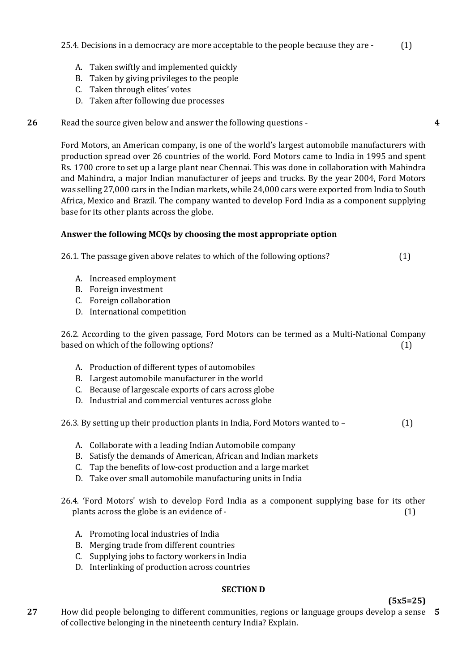- A. Taken swiftly and implemented quickly
- B. Taken by giving privileges to the people
- C. Taken through elites' votes
- D. Taken after following due processes

# **26** Read the source given below and answer the following questions -

Ford Motors, an American company, is one of the world's largest automobile manufacturers with production spread over 26 countries of the world. Ford Motors came to India in 1995 and spent Rs. 1700 crore to set up a large plant near Chennai. This was done in collaboration with Mahindra and Mahindra, a major Indian manufacturer of jeeps and trucks. By the year 2004, Ford Motors was selling 27,000 cars in the Indian markets, while 24,000 cars were exported from India to South Africa, Mexico and Brazil. The company wanted to develop Ford India as a component supplying base for its other plants across the globe.

#### **Answer the following MCQs by choosing the most appropriate option**

26.1. The passage given above relates to which of the following options? (1)

- A. Increased employment
- B. Foreign investment
- C. Foreign collaboration
- D. International competition

26.2. According to the given passage, Ford Motors can be termed as a Multi-National Company based on which of the following options? (1)

- A. Production of different types of automobiles
- B. Largest automobile manufacturer in the world
- C. Because of largescale exports of cars across globe
- D. Industrial and commercial ventures across globe
- 26.3. By setting up their production plants in India, Ford Motors wanted to (1)
	- A. Collaborate with a leading Indian Automobile company
	- B. Satisfy the demands of American, African and Indian markets
	- C. Tap the benefits of low-cost production and a large market
	- D. Take over small automobile manufacturing units in India
- 26.4. 'Ford Motors' wish to develop Ford India as a component supplying base for its other plants across the globe is an evidence of - (1) (1)
	- A. Promoting local industries of India
	- B. Merging trade from different countries
	- C. Supplying jobs to factory workers in India
	- D. Interlinking of production across countries

# **SECTION D**

# **(5x5=25)**

**4**

**27** How did people belonging to different communities, regions or language groups develop a sense **5**of collective belonging in the nineteenth century India? Explain.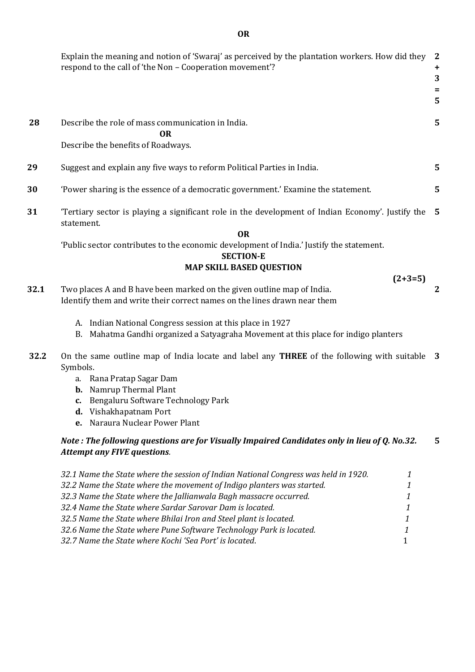|      | Explain the meaning and notion of 'Swaraj' as perceived by the plantation workers. How did they<br>respond to the call of 'the Non - Cooperation movement'? | $\mathbf{2}$<br>+<br>3<br>=<br>5 |  |  |  |  |
|------|-------------------------------------------------------------------------------------------------------------------------------------------------------------|----------------------------------|--|--|--|--|
| 28   | Describe the role of mass communication in India.<br><b>OR</b>                                                                                              | 5                                |  |  |  |  |
|      | Describe the benefits of Roadways.                                                                                                                          |                                  |  |  |  |  |
| 29   | Suggest and explain any five ways to reform Political Parties in India.                                                                                     | 5                                |  |  |  |  |
| 30   | 'Power sharing is the essence of a democratic government.' Examine the statement.                                                                           |                                  |  |  |  |  |
| 31   | 'Tertiary sector is playing a significant role in the development of Indian Economy'. Justify the<br>statement.                                             |                                  |  |  |  |  |
|      | <b>OR</b>                                                                                                                                                   |                                  |  |  |  |  |
|      | 'Public sector contributes to the economic development of India.' Justify the statement.                                                                    |                                  |  |  |  |  |
|      | <b>SECTION-E</b><br><b>MAP SKILL BASED QUESTION</b>                                                                                                         |                                  |  |  |  |  |
|      | $(2+3=5)$                                                                                                                                                   |                                  |  |  |  |  |
| 32.1 | Two places A and B have been marked on the given outline map of India.<br>Identify them and write their correct names on the lines drawn near them          | $\mathbf{2}$                     |  |  |  |  |
|      | A. Indian National Congress session at this place in 1927                                                                                                   |                                  |  |  |  |  |
|      | Mahatma Gandhi organized a Satyagraha Movement at this place for indigo planters<br>B.                                                                      |                                  |  |  |  |  |
| 32.2 | On the same outline map of India locate and label any THREE of the following with suitable 3<br>Symbols.                                                    |                                  |  |  |  |  |
|      | a. Rana Pratap Sagar Dam                                                                                                                                    |                                  |  |  |  |  |
|      | <b>b.</b> Namrup Thermal Plant                                                                                                                              |                                  |  |  |  |  |
|      | c. Bengaluru Software Technology Park<br><b>d.</b> Vishakhapatnam Port                                                                                      |                                  |  |  |  |  |
|      | Naraura Nuclear Power Plant<br>e.                                                                                                                           |                                  |  |  |  |  |
|      | Note: The following questions are for Visually Impaired Candidates only in lieu of Q. No.32.                                                                | 5                                |  |  |  |  |
|      | <b>Attempt any FIVE questions.</b>                                                                                                                          |                                  |  |  |  |  |
|      | 32.1 Name the State where the session of Indian National Congress was held in 1920.<br>1                                                                    |                                  |  |  |  |  |
|      | 32.2 Name the State where the movement of Indigo planters was started.<br>1                                                                                 |                                  |  |  |  |  |
|      | 32.3 Name the State where the Jallianwala Bagh massacre occurred.<br>1                                                                                      |                                  |  |  |  |  |
|      | 32.4 Name the State where Sardar Sarovar Dam is located.<br>1                                                                                               |                                  |  |  |  |  |
|      | 32.5 Name the State where Bhilai Iron and Steel plant is located.<br>1                                                                                      |                                  |  |  |  |  |
|      | 32.6 Name the State where Pune Software Technology Park is located.<br>1                                                                                    |                                  |  |  |  |  |
|      | 32.7 Name the State where Kochi 'Sea Port' is located.<br>$\mathbf{1}$                                                                                      |                                  |  |  |  |  |

**OR**